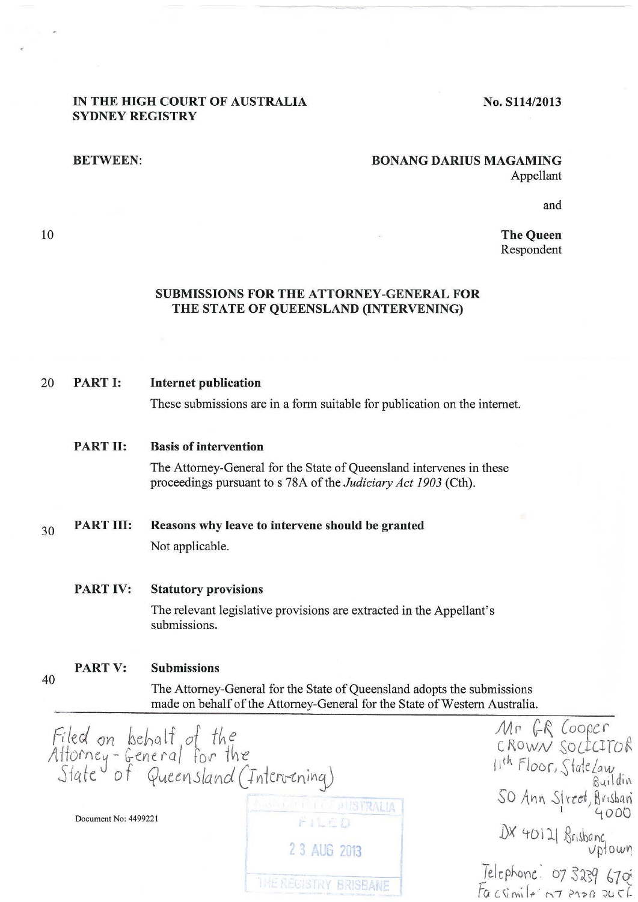# **IN THE HIGH COURT OF AUSTRALIA SYDNEY REGISTRY**

# **No. Sl14/2013**

10

40

### **BETWEEN: BONANG DARIUS MAGAMING** Appellant

and

**The Queen**  Respondent

# **SUBMISSIONS FOR THE ATTORNEY-GENERAL FOR THE STATE OF QUEENSLAND (INTERVENING)**

### 20 **PART I: Internet publication**

These submissions are in a form suitable for publication on the internet.

#### **PART II: Basis of intervention**

The Attorney-General for the State of Queensland intervenes in these proceedings pursuant to s 78A of the *Judiciary Act 1903* (Cth).

### 30 **PART III: Reasons why leave to intervene should be granted**

Not applicable.

### **PART IV: Statutory provisions**

The relevant legislative provisions are extracted in the Appellant's submissions.

#### **PARTV: Submissions**

The Attorney-General for the State of Queensland adopts the submissions made on behalf of the Attorney-General for the State of Western Australia.

Filed on behalf of the<br>Attorney-General for the<br>State of Queensland (Intervening) Mr GR Cooper C ROWN SOLICITOR 11<sup>th</sup> Floor, State Lay  $SO$  Ann Street, Brisban<sup>2</sup>  $D$ ocument No: 4499221<br>Document No: 4499221 DX 40121 Brisbanc<br>Uptown **2 3 AUG 2013** Telephone: 07 3239 6705 THE RECISTRY BRISBANE  $fa$  csimile : 07 2120 245]